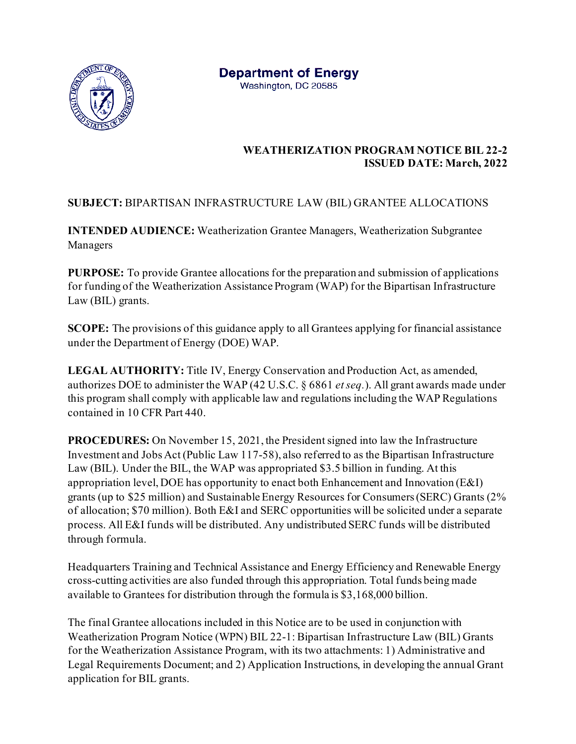

 **WEATHERIZATION PROGRAM NOTICE BIL 22-2 ISSUED DATE: March, 2022**

## **SUBJECT:** BIPARTISAN INFRASTRUCTURE LAW (BIL) GRANTEE ALLOCATIONS

**INTENDED AUDIENCE:** Weatherization Grantee Managers, Weatherization Subgrantee Managers

**PURPOSE:** To provide Grantee allocations for the preparation and submission of applications for funding of the Weatherization Assistance Program (WAP) for the Bipartisan Infrastructure Law (BIL) grants.

**SCOPE:** The provisions of this guidance apply to all Grantees applying for financial assistance under the Department of Energy (DOE) WAP.

**LEGAL AUTHORITY:** Title IV, Energy Conservation and Production Act, as amended, authorizes DOE to administer the WAP (42 U.S.C. § 6861 *et seq.*). All grant awards made under this program shall comply with applicable law and regulations including the WAP Regulations contained in 10 CFR Part 440.

**PROCEDURES:** On November 15, 2021, the President signed into law the Infrastructure Investment and Jobs Act (Public Law 117-58), also referred to as the Bipartisan Infrastructure Law (BIL). Under the BIL, the WAP was appropriated \$3.5 billion in funding. At this appropriation level, DOE has opportunity to enact both Enhancement and Innovation (E&I) grants (up to \$25 million) and Sustainable Energy Resources for Consumers (SERC) Grants (2% of allocation; \$70 million). Both E&I and SERC opportunities will be solicited under a separate process. All E&I funds will be distributed. Any undistributed SERC funds will be distributed through formula.

Headquarters Training and Technical Assistance and Energy Efficiency and Renewable Energy cross-cutting activities are also funded through this appropriation. Total funds being made available to Grantees for distribution through the formula is \$3,168,000 billion.

The final Grantee allocations included in this Notice are to be used in conjunction with Weatherization Program Notice (WPN) BIL 22-1: Bipartisan Infrastructure Law (BIL) Grants for the Weatherization Assistance Program, with its two attachments: 1) Administrative and Legal Requirements Document; and 2) Application Instructions, in developing the annual Grant application for BIL grants.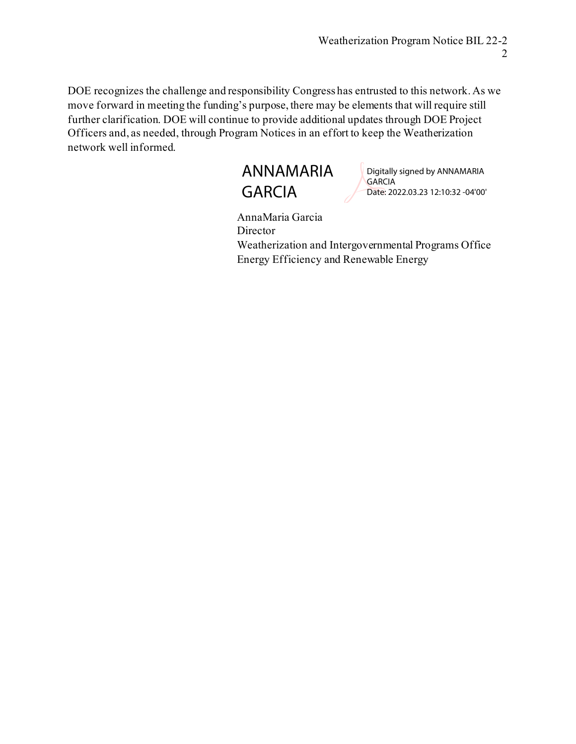DOE recognizes the challenge and responsibility Congress has entrusted to this network. As we move forward in meeting the funding's purpose, there may be elements that will require still further clarification. DOE will continue to provide additional updates through DOE Project Officers and, as needed, through Program Notices in an effort to keep the Weatherization network well informed.



Digitally signed by ANNAMARIA **GARCIA** Date: 2022.03.23 12:10:32 -04'00'

AnnaMaria Garcia Director Weatherization and Intergovernmental Programs Office Energy Efficiency and Renewable Energy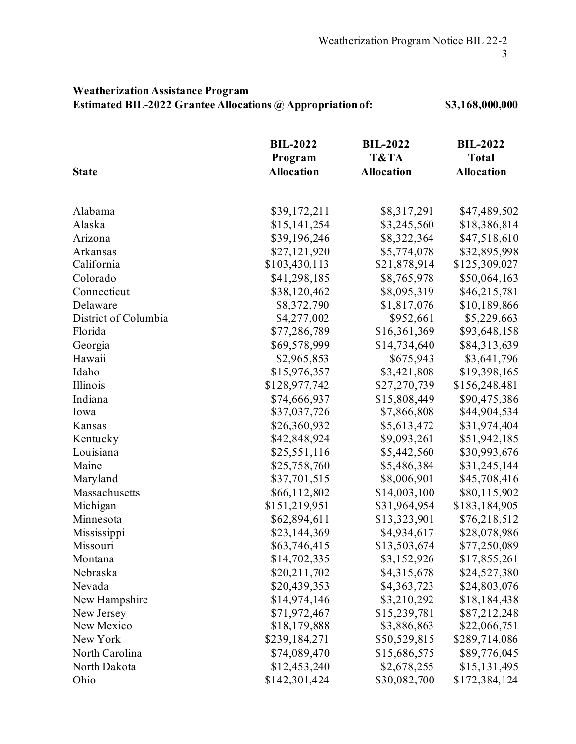## **Weatherization Assistance Program Estimated BIL-2022 Grantee Allocations @ Appropriation of: \$3,168,000,000**

| <b>State</b>         | <b>BIL-2022</b><br>Program<br><b>Allocation</b> | <b>BIL-2022</b><br>T&TA<br><b>Allocation</b> | <b>BIL-2022</b><br><b>Total</b><br><b>Allocation</b> |         |              |             |              |
|----------------------|-------------------------------------------------|----------------------------------------------|------------------------------------------------------|---------|--------------|-------------|--------------|
|                      |                                                 |                                              |                                                      |         |              |             |              |
|                      |                                                 |                                              |                                                      | Alabama | \$39,172,211 | \$8,317,291 | \$47,489,502 |
| Alaska               | \$15,141,254                                    | \$3,245,560                                  | \$18,386,814                                         |         |              |             |              |
| Arizona              | \$39,196,246                                    | \$8,322,364                                  | \$47,518,610                                         |         |              |             |              |
| Arkansas             | \$27,121,920                                    | \$5,774,078                                  | \$32,895,998                                         |         |              |             |              |
| California           | \$103,430,113                                   | \$21,878,914                                 | \$125,309,027                                        |         |              |             |              |
| Colorado             | \$41,298,185                                    | \$8,765,978                                  | \$50,064,163                                         |         |              |             |              |
| Connecticut          | \$38,120,462                                    | \$8,095,319                                  | \$46,215,781                                         |         |              |             |              |
| Delaware             | \$8,372,790                                     | \$1,817,076                                  | \$10,189,866                                         |         |              |             |              |
| District of Columbia | \$4,277,002                                     | \$952,661                                    | \$5,229,663                                          |         |              |             |              |
| Florida              | \$77,286,789                                    | \$16,361,369                                 | \$93,648,158                                         |         |              |             |              |
| Georgia              | \$69,578,999                                    | \$14,734,640                                 | \$84,313,639                                         |         |              |             |              |
| Hawaii               | \$2,965,853                                     | \$675,943                                    | \$3,641,796                                          |         |              |             |              |
| Idaho                | \$15,976,357                                    | \$3,421,808                                  | \$19,398,165                                         |         |              |             |              |
| Illinois             | \$128,977,742                                   | \$27,270,739                                 | \$156,248,481                                        |         |              |             |              |
| Indiana              | \$74,666,937                                    | \$15,808,449                                 | \$90,475,386                                         |         |              |             |              |
| Iowa                 | \$37,037,726                                    | \$7,866,808                                  | \$44,904,534                                         |         |              |             |              |
| Kansas               | \$26,360,932                                    | \$5,613,472                                  | \$31,974,404                                         |         |              |             |              |
| Kentucky             | \$42,848,924                                    | \$9,093,261                                  | \$51,942,185                                         |         |              |             |              |
| Louisiana            | \$25,551,116                                    | \$5,442,560                                  | \$30,993,676                                         |         |              |             |              |
| Maine                | \$25,758,760                                    | \$5,486,384                                  | \$31,245,144                                         |         |              |             |              |
| Maryland             | \$37,701,515                                    | \$8,006,901                                  | \$45,708,416                                         |         |              |             |              |
| Massachusetts        | \$66,112,802                                    | \$14,003,100                                 | \$80,115,902                                         |         |              |             |              |
| Michigan             | \$151,219,951                                   | \$31,964,954                                 | \$183,184,905                                        |         |              |             |              |
| Minnesota            | \$62,894,611                                    | \$13,323,901                                 | \$76,218,512                                         |         |              |             |              |
| Mississippi          | \$23,144,369                                    | \$4,934,617                                  | \$28,078,986                                         |         |              |             |              |
| Missouri             | \$63,746,415                                    | \$13,503,674                                 | \$77,250,089                                         |         |              |             |              |
| Montana              | \$14,702,335                                    | \$3,152,926                                  | \$17,855,261                                         |         |              |             |              |
| Nebraska             | \$20,211,702                                    | \$4,315,678                                  | \$24,527,380                                         |         |              |             |              |
| Nevada               | \$20,439,353                                    | \$4,363,723                                  | \$24,803,076                                         |         |              |             |              |
| New Hampshire        | \$14,974,146                                    | \$3,210,292                                  | \$18,184,438                                         |         |              |             |              |
| New Jersey           | \$71,972,467                                    | \$15,239,781                                 | \$87,212,248                                         |         |              |             |              |
| New Mexico           | \$18,179,888                                    | \$3,886,863                                  | \$22,066,751                                         |         |              |             |              |
| New York             | \$239,184,271                                   | \$50,529,815                                 | \$289,714,086                                        |         |              |             |              |
| North Carolina       | \$74,089,470                                    | \$15,686,575                                 | \$89,776,045                                         |         |              |             |              |
| North Dakota         | \$12,453,240                                    | \$2,678,255                                  | \$15,131,495                                         |         |              |             |              |
| Ohio                 | \$142,301,424                                   | \$30,082,700                                 | \$172,384,124                                        |         |              |             |              |